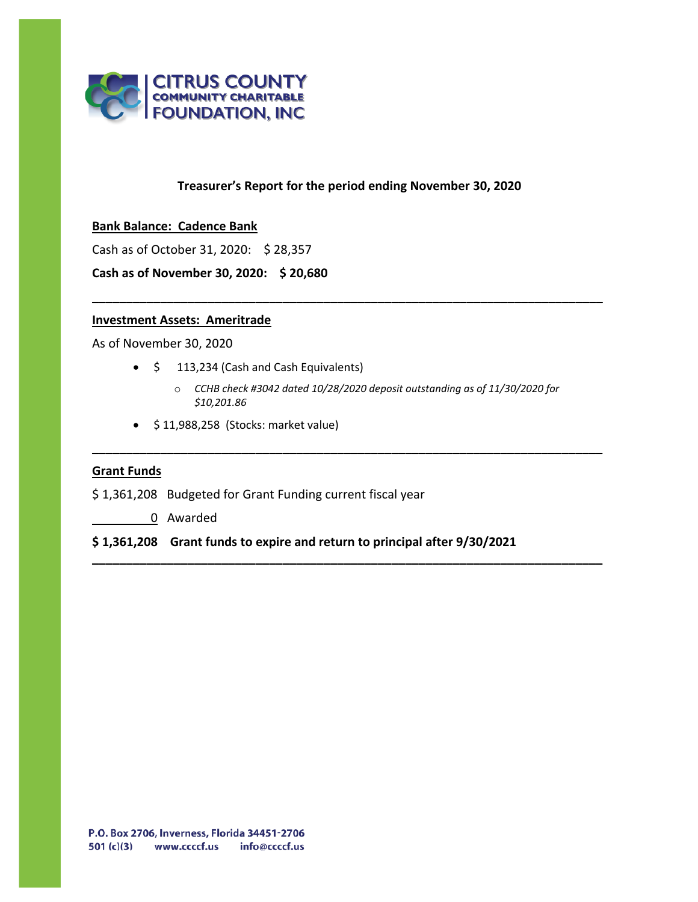

# **Treasurer's Report for the period ending November 30, 2020**

**\_\_\_\_\_\_\_\_\_\_\_\_\_\_\_\_\_\_\_\_\_\_\_\_\_\_\_\_\_\_\_\_\_\_\_\_\_\_\_\_\_\_\_\_\_\_\_\_\_\_\_\_\_\_\_\_\_\_\_\_\_\_\_\_\_\_\_\_\_\_\_\_\_\_\_**

### **Bank Balance: Cadence Bank**

Cash as of October 31, 2020: \$ 28,357

**Cash as of November 30, 2020: \$ 20,680**

# **Investment Assets: Ameritrade**

As of November 30, 2020

- \$ 113,234 (Cash and Cash Equivalents)
	- o *CCHB check #3042 dated 10/28/2020 deposit outstanding as of 11/30/2020 for \$10,201.86*

**\_\_\_\_\_\_\_\_\_\_\_\_\_\_\_\_\_\_\_\_\_\_\_\_\_\_\_\_\_\_\_\_\_\_\_\_\_\_\_\_\_\_\_\_\_\_\_\_\_\_\_\_\_\_\_\_\_\_\_\_\_\_\_\_\_\_\_\_\_\_\_\_\_\_\_**

**\_\_\_\_\_\_\_\_\_\_\_\_\_\_\_\_\_\_\_\_\_\_\_\_\_\_\_\_\_\_\_\_\_\_\_\_\_\_\_\_\_\_\_\_\_\_\_\_\_\_\_\_\_\_\_\_\_\_\_\_\_\_\_\_\_\_\_\_\_\_\_\_\_\_\_**

• \$ 11,988,258 (Stocks: market value)

### **Grant Funds**

- \$ 1,361,208 Budgeted for Grant Funding current fiscal year
	- 0 Awarded

## **\$ 1,361,208 Grant funds to expire and return to principal after 9/30/2021**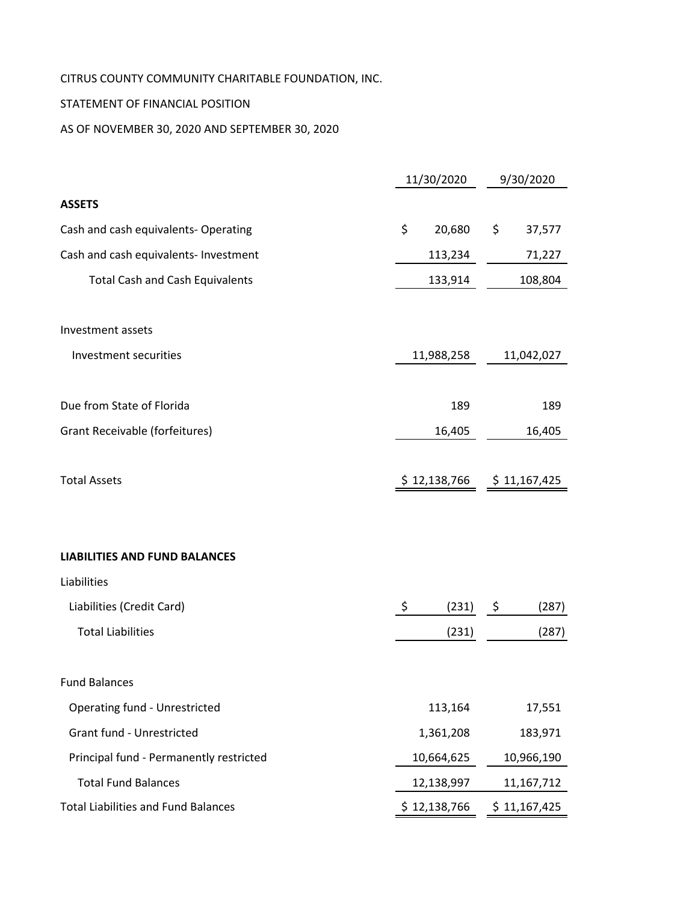# CITRUS COUNTY COMMUNITY CHARITABLE FOUNDATION, INC.

# STATEMENT OF FINANCIAL POSITION

AS OF NOVEMBER 30, 2020 AND SEPTEMBER 30, 2020

|                                            | 11/30/2020   |              |  |  |  |
|--------------------------------------------|--------------|--------------|--|--|--|
| <b>ASSETS</b>                              |              |              |  |  |  |
| Cash and cash equivalents- Operating       | \$<br>20,680 | \$<br>37,577 |  |  |  |
| Cash and cash equivalents- Investment      | 113,234      | 71,227       |  |  |  |
| <b>Total Cash and Cash Equivalents</b>     | 133,914      | 108,804      |  |  |  |
| Investment assets                          |              |              |  |  |  |
| Investment securities                      | 11,988,258   | 11,042,027   |  |  |  |
| Due from State of Florida                  | 189          | 189          |  |  |  |
| <b>Grant Receivable (forfeitures)</b>      | 16,405       | 16,405       |  |  |  |
| <b>Total Assets</b>                        | \$12,138,766 | \$11,167,425 |  |  |  |
| <b>LIABILITIES AND FUND BALANCES</b>       |              |              |  |  |  |
| Liabilities                                |              |              |  |  |  |
| Liabilities (Credit Card)                  | \$<br>(231)  | (287)<br>\$. |  |  |  |
| <b>Total Liabilities</b>                   | (231)        | (287)        |  |  |  |
| <b>Fund Balances</b>                       |              |              |  |  |  |
| <b>Operating fund - Unrestricted</b>       | 113,164      | 17,551       |  |  |  |
| Grant fund - Unrestricted                  | 1,361,208    | 183,971      |  |  |  |
| Principal fund - Permanently restricted    | 10,664,625   | 10,966,190   |  |  |  |
| <b>Total Fund Balances</b>                 | 12,138,997   | 11,167,712   |  |  |  |
| <b>Total Liabilities and Fund Balances</b> | \$12,138,766 | \$11,167,425 |  |  |  |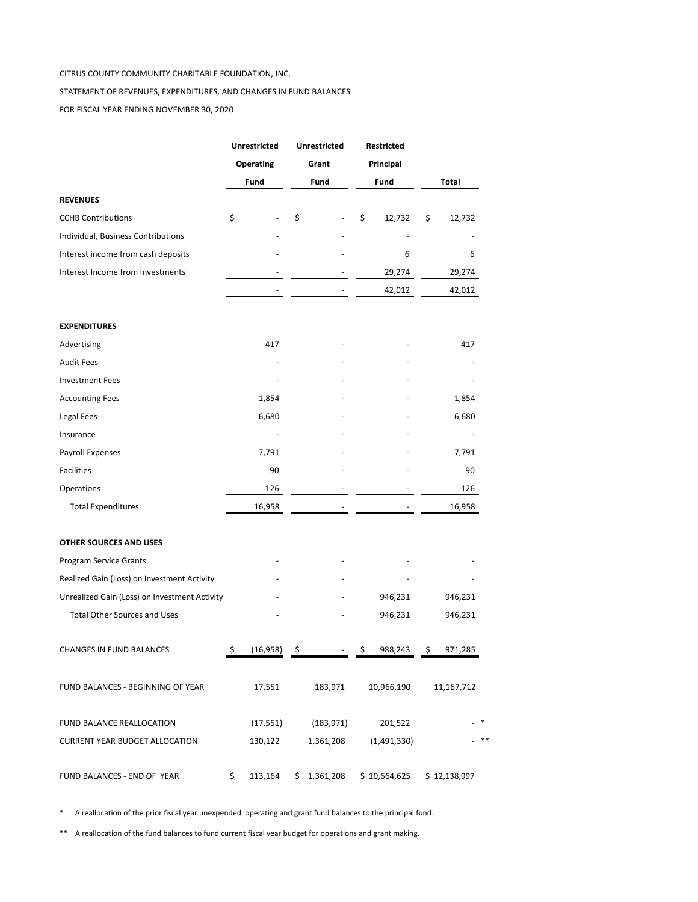#### CITRUS COUNTY COMMUNITY CHARITABLE FOUNDATION, INC.

#### STATEMENT OF REVENUES, EXPENDITURES, AND CHANGES IN FUND BALANCES

FOR FISCAL YEAR ENDING NOVEMBER 30, 2020

|                                               |    | <b>Unrestricted</b><br><b>Operating</b><br>Fund |    | <b>Unrestricted</b><br>Grant<br>Fund |    | Restricted<br>Principal<br>Fund |    | Total        |  |
|-----------------------------------------------|----|-------------------------------------------------|----|--------------------------------------|----|---------------------------------|----|--------------|--|
| <b>REVENUES</b>                               |    |                                                 |    |                                      |    |                                 |    |              |  |
| <b>CCHB Contributions</b>                     | \$ |                                                 | \$ |                                      | \$ | 12,732                          | \$ | 12,732       |  |
| Individual, Business Contributions            |    |                                                 |    |                                      |    |                                 |    |              |  |
| Interest income from cash deposits            |    |                                                 |    |                                      |    | 6                               |    | 6            |  |
| Interest Income from Investments              |    |                                                 |    |                                      |    | 29,274                          |    | 29,274       |  |
|                                               |    |                                                 |    |                                      |    | 42,012                          |    | 42,012       |  |
| <b>EXPENDITURES</b>                           |    |                                                 |    |                                      |    |                                 |    |              |  |
| Advertising                                   |    | 417                                             |    |                                      |    |                                 |    | 417          |  |
| <b>Audit Fees</b>                             |    |                                                 |    |                                      |    |                                 |    |              |  |
| <b>Investment Fees</b>                        |    |                                                 |    |                                      |    |                                 |    |              |  |
| <b>Accounting Fees</b>                        |    | 1,854                                           |    |                                      |    |                                 |    | 1,854        |  |
| Legal Fees                                    |    | 6,680                                           |    |                                      |    |                                 |    | 6,680        |  |
| Insurance                                     |    |                                                 |    |                                      |    |                                 |    |              |  |
| Payroll Expenses                              |    | 7,791                                           |    |                                      |    |                                 |    | 7,791        |  |
| <b>Facilities</b>                             |    | 90                                              |    |                                      |    |                                 |    | 90           |  |
| Operations                                    |    | 126                                             |    |                                      |    |                                 |    | 126          |  |
| <b>Total Expenditures</b>                     |    | 16,958                                          |    |                                      |    |                                 |    | 16,958       |  |
| OTHER SOURCES AND USES                        |    |                                                 |    |                                      |    |                                 |    |              |  |
| <b>Program Service Grants</b>                 |    |                                                 |    |                                      |    |                                 |    |              |  |
| Realized Gain (Loss) on Investment Activity   |    |                                                 |    |                                      |    |                                 |    |              |  |
| Unrealized Gain (Loss) on Investment Activity |    |                                                 |    |                                      |    | 946,231                         |    | 946,231      |  |
| <b>Total Other Sources and Uses</b>           |    |                                                 |    |                                      |    | 946,231                         |    | 946,231      |  |
| <b>CHANGES IN FUND BALANCES</b>               | \$ | (16, 958)                                       | \$ |                                      | \$ | 988,243                         | \$ | 971,285      |  |
| FUND BALANCES - BEGINNING OF YEAR             |    | 17,551                                          |    | 183,971                              |    | 10,966,190                      |    | 11,167,712   |  |
| FUND BALANCE REALLOCATION                     |    | (17, 551)                                       |    | (183,971)                            |    | 201,522                         |    |              |  |
| <b>CURRENT YEAR BUDGET ALLOCATION</b>         |    | 130,122                                         |    | 1,361,208                            |    | (1,491,330)                     |    |              |  |
| FUND BALANCES - END OF YEAR                   | \$ | 113,164                                         |    | \$1,361,208                          |    | \$10,664,625                    |    | \$12,138,997 |  |

\* A reallocation of the prior fiscal year unexpended operating and grant fund balances to the principal fund.

\*\* A reallocation of the fund balances to fund current fiscal year budget for operations and grant making.